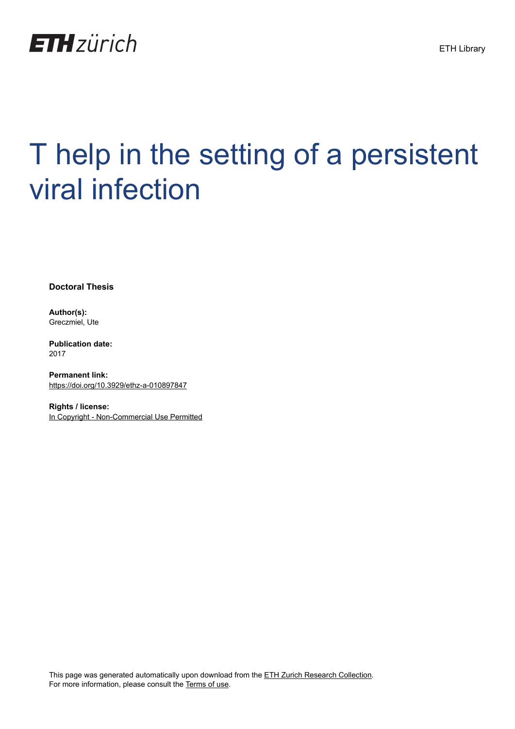

# T help in the setting of a persistent viral infection

**Doctoral Thesis**

**Author(s):** Greczmiel, Ute

**Publication date:** 2017

**Permanent link:** <https://doi.org/10.3929/ethz-a-010897847>

**Rights / license:** [In Copyright - Non-Commercial Use Permitted](http://rightsstatements.org/page/InC-NC/1.0/)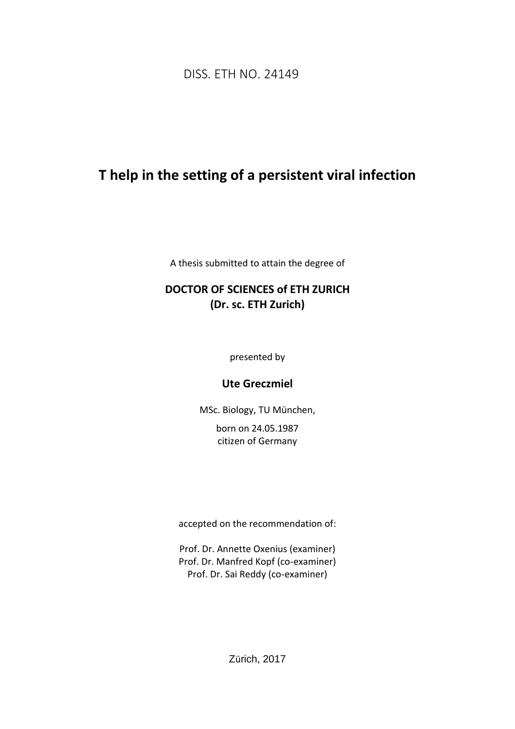DISS. ETH NO. 24149

## **T help in the setting of a persistent viral infection**

A thesis submitted to attain the degree of

## **DOCTOR OF SCIENCES of ETH ZURICH (Dr. sc. ETH Zurich)**

presented by

### **Ute Greczmiel**

MSc. Biology, TU München, born on 24.05.1987 citizen of Germany

accepted on the recommendation of:

Prof. Dr. Annette Oxenius (examiner) Prof. Dr. Manfred Kopf (co-examiner) Prof. Dr. Sai Reddy (co-examiner)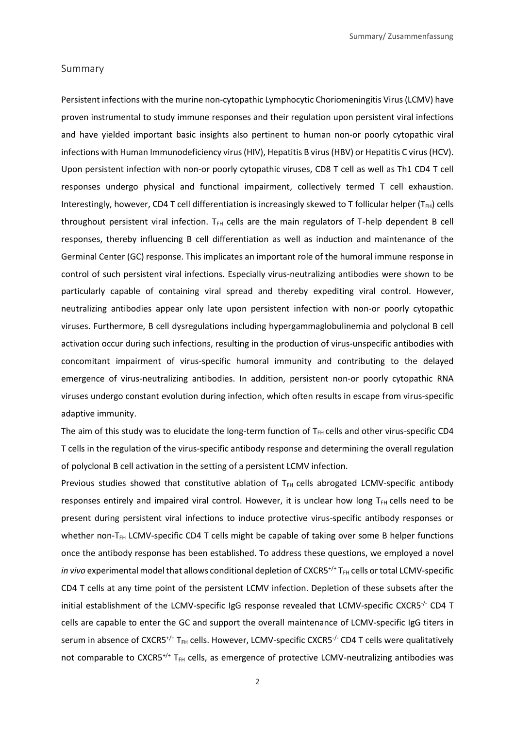#### Summary

Persistent infections with the murine non-cytopathic Lymphocytic Choriomeningitis Virus (LCMV) have proven instrumental to study immune responses and their regulation upon persistent viral infections and have yielded important basic insights also pertinent to human non-or poorly cytopathic viral infections with Human Immunodeficiency virus (HIV), Hepatitis B virus (HBV) or Hepatitis C virus (HCV). Upon persistent infection with non-or poorly cytopathic viruses, CD8 T cell as well as Th1 CD4 T cell responses undergo physical and functional impairment, collectively termed T cell exhaustion. Interestingly, however, CD4 T cell differentiation is increasingly skewed to T follicular helper ( $T_{FH}$ ) cells throughout persistent viral infection. T<sub>FH</sub> cells are the main regulators of T-help dependent B cell responses, thereby influencing B cell differentiation as well as induction and maintenance of the Germinal Center (GC) response. This implicates an important role of the humoral immune response in control of such persistent viral infections. Especially virus-neutralizing antibodies were shown to be particularly capable of containing viral spread and thereby expediting viral control. However, neutralizing antibodies appear only late upon persistent infection with non-or poorly cytopathic viruses. Furthermore, B cell dysregulations including hypergammaglobulinemia and polyclonal B cell activation occur during such infections, resulting in the production of virus-unspecific antibodies with concomitant impairment of virus-specific humoral immunity and contributing to the delayed emergence of virus-neutralizing antibodies. In addition, persistent non-or poorly cytopathic RNA viruses undergo constant evolution during infection, which often results in escape from virus-specific adaptive immunity.

The aim of this study was to elucidate the long-term function of T<sub>FH</sub> cells and other virus-specific CD4 T cells in the regulation of the virus-specific antibody response and determining the overall regulation of polyclonal B cell activation in the setting of a persistent LCMV infection.

Previous studies showed that constitutive ablation of T<sub>FH</sub> cells abrogated LCMV-specific antibody responses entirely and impaired viral control. However, it is unclear how long  $T_{FH}$  cells need to be present during persistent viral infections to induce protective virus-specific antibody responses or whether non-T<sub>FH</sub> LCMV-specific CD4 T cells might be capable of taking over some B helper functions once the antibody response has been established. To address these questions, we employed a novel *in vivo* experimental model that allows conditional depletion of CXCR5<sup>+/+</sup> T<sub>FH</sub> cells or total LCMV-specific CD4 T cells at any time point of the persistent LCMV infection. Depletion of these subsets after the initial establishment of the LCMV-specific IgG response revealed that LCMV-specific CXCR5<sup>-/-</sup> CD4 T cells are capable to enter the GC and support the overall maintenance of LCMV-specific IgG titers in serum in absence of CXCR5<sup>+/+</sup> T<sub>FH</sub> cells. However, LCMV-specific CXCR5<sup>-/-</sup> CD4 T cells were qualitatively not comparable to  $CXCRS^{+/+}$  T<sub>FH</sub> cells, as emergence of protective LCMV-neutralizing antibodies was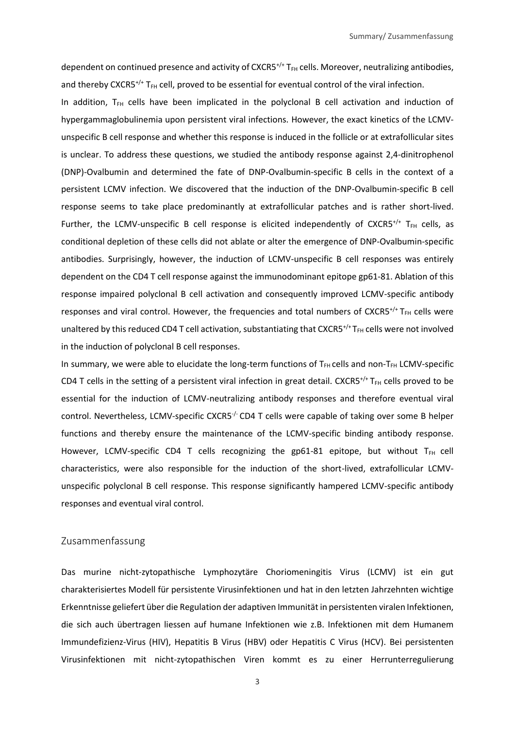dependent on continued presence and activity of CXCR5<sup>+/+</sup> T<sub>FH</sub> cells. Moreover, neutralizing antibodies, and thereby CXCR5<sup>+/+</sup> T<sub>FH</sub> cell, proved to be essential for eventual control of the viral infection.

In addition,  $T_{FH}$  cells have been implicated in the polyclonal B cell activation and induction of hypergammaglobulinemia upon persistent viral infections. However, the exact kinetics of the LCMVunspecific B cell response and whether this response is induced in the follicle or at extrafollicular sites is unclear. To address these questions, we studied the antibody response against 2,4-dinitrophenol (DNP)-Ovalbumin and determined the fate of DNP-Ovalbumin-specific B cells in the context of a persistent LCMV infection. We discovered that the induction of the DNP-Ovalbumin-specific B cell response seems to take place predominantly at extrafollicular patches and is rather short-lived. Further, the LCMV-unspecific B cell response is elicited independently of CXCR5<sup>+/+</sup> T<sub>FH</sub> cells, as conditional depletion of these cells did not ablate or alter the emergence of DNP-Ovalbumin-specific antibodies. Surprisingly, however, the induction of LCMV-unspecific B cell responses was entirely dependent on the CD4 T cell response against the immunodominant epitope gp61-81. Ablation of this response impaired polyclonal B cell activation and consequently improved LCMV-specific antibody responses and viral control. However, the frequencies and total numbers of CXCR5<sup>+/+</sup> T<sub>FH</sub> cells were unaltered by this reduced CD4 T cell activation, substantiating that CXCR5<sup>+/+</sup> T<sub>FH</sub> cells were not involved in the induction of polyclonal B cell responses.

In summary, we were able to elucidate the long-term functions of T<sub>FH</sub> cells and non-T<sub>FH</sub> LCMV-specific CD4 T cells in the setting of a persistent viral infection in great detail. CXCR5<sup>+/+</sup> T<sub>FH</sub> cells proved to be essential for the induction of LCMV-neutralizing antibody responses and therefore eventual viral control. Nevertheless, LCMV-specific CXCR5<sup>-/-</sup> CD4 T cells were capable of taking over some B helper functions and thereby ensure the maintenance of the LCMV-specific binding antibody response. However, LCMV-specific CD4 T cells recognizing the gp61-81 epitope, but without  $T_{FH}$  cell characteristics, were also responsible for the induction of the short-lived, extrafollicular LCMVunspecific polyclonal B cell response. This response significantly hampered LCMV-specific antibody responses and eventual viral control.

#### Zusammenfassung

Das murine nicht-zytopathische Lymphozytäre Choriomeningitis Virus (LCMV) ist ein gut charakterisiertes Modell für persistente Virusinfektionen und hat in den letzten Jahrzehnten wichtige Erkenntnisse geliefert über die Regulation der adaptiven Immunität in persistenten viralen Infektionen, die sich auch übertragen liessen auf humane Infektionen wie z.B. Infektionen mit dem Humanem Immundefizienz-Virus (HIV), Hepatitis B Virus (HBV) oder Hepatitis C Virus (HCV). Bei persistenten Virusinfektionen mit nicht-zytopathischen Viren kommt es zu einer Herrunterregulierung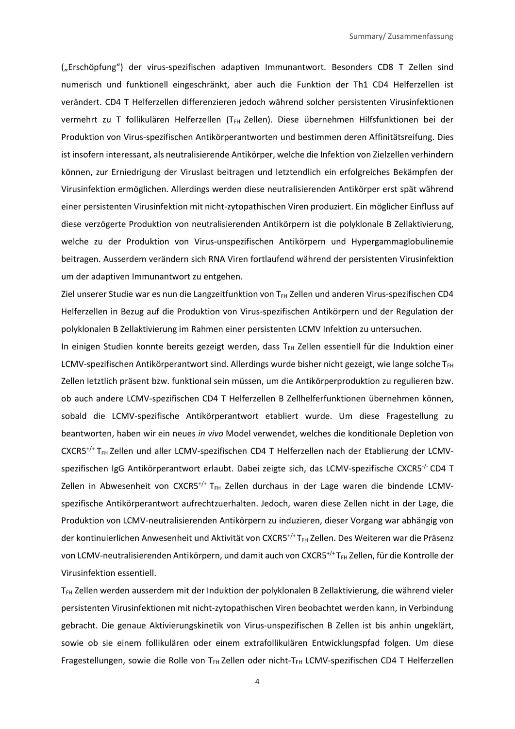("Erschöpfung") der virus-spezifischen adaptiven Immunantwort. Besonders CD8 T Zellen sind numerisch und funktionell eingeschränkt, aber auch die Funktion der Th1 CD4 Helferzellen ist verändert. CD4 T Helferzellen differenzieren jedoch während solcher persistenten Virusinfektionen vermehrt zu T follikulären Helferzellen (T<sub>FH</sub> Zellen). Diese übernehmen Hilfsfunktionen bei der Produktion von Virus-spezifischen Antikörperantworten und bestimmen deren Affinitätsreifung. Dies ist insofern interessant, als neutralisierende Antikörper, welche die Infektion von Zielzellen verhindern können, zur Erniedrigung der Viruslast beitragen und letztendlich ein erfolgreiches Bekämpfen der Virusinfektion ermöglichen. Allerdings werden diese neutralisierenden Antikörper erst spät während einer persistenten Virusinfektion mit nicht-zytopathischen Viren produziert. Ein möglicher Einfluss auf diese verzögerte Produktion von neutralisierenden Antikörpern ist die polyklonale B Zellaktivierung, welche zu der Produktion von Virus-unspezifischen Antikörpern und Hypergammaglobulinemie beitragen. Ausserdem verändern sich RNA Viren fortlaufend während der persistenten Virusinfektion um der adaptiven Immunantwort zu entgehen.

Ziel unserer Studie war es nun die Langzeitfunktion von T<sub>FH</sub> Zellen und anderen Virus-spezifischen CD4 Helferzellen in Bezug auf die Produktion von Virus-spezifischen Antikörpern und der Regulation der polyklonalen B Zellaktivierung im Rahmen einer persistenten LCMV Infektion zu untersuchen.

In einigen Studien konnte bereits gezeigt werden, dass  $T_{FH}$  Zellen essentiell für die Induktion einer LCMV-spezifischen Antikörperantwort sind. Allerdings wurde bisher nicht gezeigt, wie lange solche TFH Zellen letztlich präsent bzw. funktional sein müssen, um die Antikörperproduktion zu regulieren bzw. ob auch andere LCMV-spezifischen CD4 T Helferzellen B Zellhelferfunktionen übernehmen können, sobald die LCMV-spezifische Antikörperantwort etabliert wurde. Um diese Fragestellung zu beantworten, haben wir ein neues *in vivo* Model verwendet, welches die konditionale Depletion von CXCR5<sup>+/+</sup> T<sub>FH</sub> Zellen und aller LCMV-spezifischen CD4 T Helferzellen nach der Etablierung der LCMVspezifischen IgG Antikörperantwort erlaubt. Dabei zeigte sich, das LCMV-spezifische CXCR5<sup>-/-</sup> CD4 T Zellen in Abwesenheit von CXCR5<sup>+/+</sup> T<sub>FH</sub> Zellen durchaus in der Lage waren die bindende LCMVspezifische Antikörperantwort aufrechtzuerhalten. Jedoch, waren diese Zellen nicht in der Lage, die Produktion von LCMV-neutralisierenden Antikörpern zu induzieren, dieser Vorgang war abhängig von der kontinuierlichen Anwesenheit und Aktivität von CXCR5<sup>+/+</sup> T<sub>FH</sub> Zellen. Des Weiteren war die Präsenz von LCMV-neutralisierenden Antikörpern, und damit auch von CXCR5<sup>+/+</sup> T<sub>FH</sub> Zellen, für die Kontrolle der Virusinfektion essentiell.

T<sub>FH</sub> Zellen werden ausserdem mit der Induktion der polyklonalen B Zellaktivierung, die während vieler persistenten Virusinfektionen mit nicht-zytopathischen Viren beobachtet werden kann, in Verbindung gebracht. Die genaue Aktivierungskinetik von Virus-unspezifischen B Zellen ist bis anhin ungeklärt, sowie ob sie einem follikulären oder einem extrafollikulären Entwicklungspfad folgen. Um diese Fragestellungen, sowie die Rolle von T<sub>FH</sub> Zellen oder nicht-T<sub>FH</sub> LCMV-spezifischen CD4 T Helferzellen